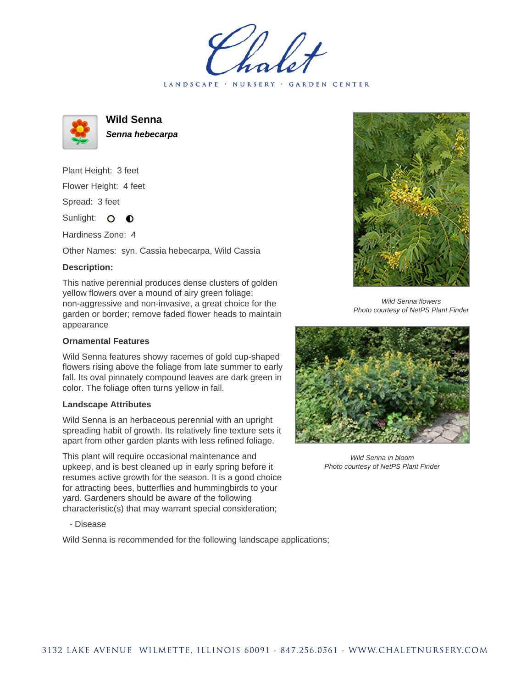LANDSCAPE · NURSERY · GARDEN CENTER



**Wild Senna**

**Senna hebecarpa**

Plant Height: 3 feet Flower Height: 4 feet Spread: 3 feet

Sunlight: O **O** 

Hardiness Zone: 4

Other Names: syn. Cassia hebecarpa, Wild Cassia

## **Description:**

This native perennial produces dense clusters of golden yellow flowers over a mound of airy green foliage; non-aggressive and non-invasive, a great choice for the garden or border; remove faded flower heads to maintain appearance

## **Ornamental Features**

Wild Senna features showy racemes of gold cup-shaped flowers rising above the foliage from late summer to early fall. Its oval pinnately compound leaves are dark green in color. The foliage often turns yellow in fall.

## **Landscape Attributes**

Wild Senna is an herbaceous perennial with an upright spreading habit of growth. Its relatively fine texture sets it apart from other garden plants with less refined foliage.

This plant will require occasional maintenance and upkeep, and is best cleaned up in early spring before it resumes active growth for the season. It is a good choice for attracting bees, butterflies and hummingbirds to your yard. Gardeners should be aware of the following characteristic(s) that may warrant special consideration;

- Disease

Wild Senna is recommended for the following landscape applications;



Wild Senna flowers Photo courtesy of NetPS Plant Finder



Wild Senna in bloom Photo courtesy of NetPS Plant Finder